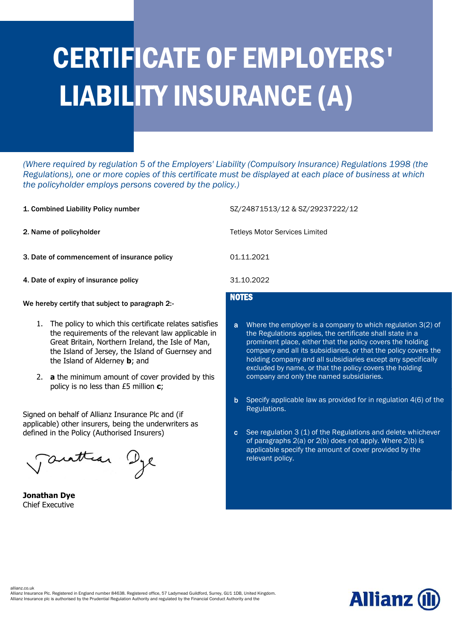## CERTIFICATE OF EMPLOYERS' LIABILITY INSURANCE (A)

*(Where required by regulation 5 of the Employers' Liability (Compulsory Insurance) Regulations 1998 (the Regulations), one or more copies of this certificate must be displayed at each place of business at which the policyholder employs persons covered by the policy.)* 

- 
- 
- 3. Date of commencement of insurance policy 01.11.2021
- 4. Date of expiry of insurance policy 31.10.2022

We hereby certify that subject to paragraph 2:-

- 1. The policy to which this certificate relates satisfies the requirements of the relevant law applicable in Great Britain, Northern Ireland, the Isle of Man, the Island of Jersey, the Island of Guernsey and the Island of Alderney **b**; and
- 2. **a** the minimum amount of cover provided by this policy is no less than £5 million **c**;

Signed on behalf of Allianz Insurance Plc and (if applicable) other insurers, being the underwriters as defined in the Policy (Authorised Insurers)

Tauttean Dye

**Jonathan Dye** Chief Executive

1. Combined Liability Policy number SZ/24871513/12 & SZ/29237222/12

2. Name of policyholder Tetleys Motor Services Limited

## **NOTES**

- a Where the employer is a company to which regulation 3(2) of the Regulations applies, the certificate shall state in a prominent place, either that the policy covers the holding company and all its subsidiaries, or that the policy covers the holding company and all subsidiaries except any specifically excluded by name, or that the policy covers the holding company and only the named subsidiaries.
- b Specify applicable law as provided for in regulation 4(6) of the Regulations.
- c See regulation 3 (1) of the Regulations and delete whichever of paragraphs 2(a) or 2(b) does not apply. Where 2(b) is applicable specify the amount of cover provided by the relevant policy.